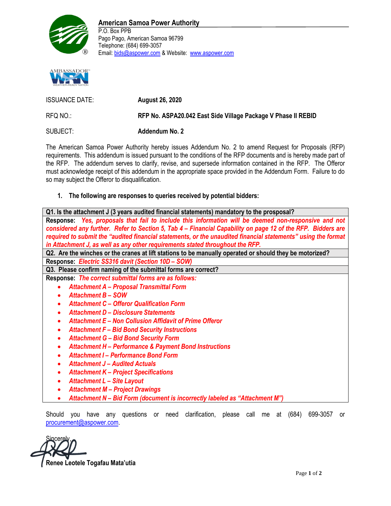

## **American Samoa Power Authority**

P.O. Box PPB Pago Pago, American Samoa 96799 Telephone: (684) 699-3057 Email: bids@aspower.com & Website: www.aspower.com



| <b>ISSUANCE DATE:</b> | <b>August 26, 2020</b>                                        |
|-----------------------|---------------------------------------------------------------|
| RFQ NO∴               | RFP No. ASPA20.042 East Side Village Package V Phase II REBID |
| SUBJECT:              | <b>Addendum No. 2</b>                                         |

The American Samoa Power Authority hereby issues Addendum No. 2 to amend Request for Proposals (RFP) requirements. This addendum is issued pursuant to the conditions of the RFP documents and is hereby made part of the RFP. The addendum serves to clarify, revise, and supersede information contained in the RFP. The Offeror must acknowledge receipt of this addendum in the appropriate space provided in the Addendum Form. Failure to do so may subject the Offeror to disqualification.

## **1. The following are responses to queries received by potential bidders:**

| Q1. Is the attachment J (3 years audited financial statements) mandatory to the prosposal?                    |
|---------------------------------------------------------------------------------------------------------------|
| Response: Yes, proposals that fail to include this information will be deemed non-responsive and not          |
| considered any further. Refer to Section 5, Tab 4 – Financial Capability on page 12 of the RFP. Bidders are   |
| required to submit the "audited financial statements, or the unaudited financial statements" using the format |
| in Attachment J, as well as any other requirements stated throughout the RFP.                                 |
| Q2. Are the winches or the cranes at lift stations to be manually operated or should they be motorized?       |
| Response: Electric SS316 davit (Section 10D - SOW)                                                            |
| Q3. Please confirm naming of the submittal forms are correct?                                                 |
| Response: The correct submittal forms are as follows:                                                         |
| <b>Attachment A - Proposal Transmittal Form</b><br>$\bullet$                                                  |
| <b>Attachment B - SOW</b>                                                                                     |
| <b>Attachment C - Offeror Qualification Form</b><br>٠                                                         |
| <b>Attachment D - Disclosure Statements</b><br>$\bullet$                                                      |
| Attachment E – Non Collusion Affidavit of Prime Offeror<br>$\bullet$                                          |
| <b>Attachment F - Bid Bond Security Instructions</b><br>٠                                                     |
| <b>Attachment G - Bid Bond Security Form</b><br>$\bullet$                                                     |
| <b>Attachment H - Performance &amp; Payment Bond Instructions</b><br>$\bullet$                                |
| <b>Attachment I - Performance Bond Form</b>                                                                   |
| $\bullet$                                                                                                     |
| <b>Attachment J - Audited Actuals</b><br>$\bullet$                                                            |
| <b>Attachment K - Project Specifications</b><br>٠                                                             |
| <b>Attachment L - Site Layout</b>                                                                             |
|                                                                                                               |

- *Attachment M – Project Drawings*
- *Attachment N – Bid Form (document is incorrectly labeled as "Attachment M")*

Should you have any questions or need clarification, please call me at (684) 699-3057 or procurement@aspower.com.

Sincerely, **Renee Leotele Togafau Mata'utia**